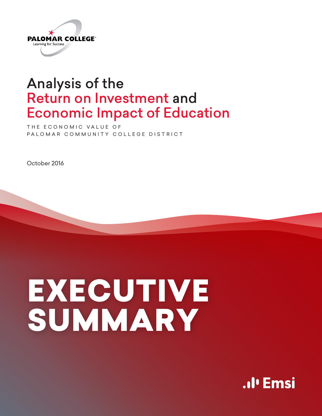

# Analysis of the Return on Investment and Economic Impact of Education

THE ECONOMIC VALUE OF PALOMAR COMMUNITY COLLEGE DISTRICT

October 2016

# EXECUTIVE SUMMARY

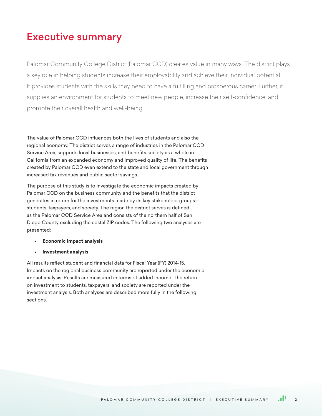# Executive summary

Palomar Community College District (Palomar CCD) creates value in many ways. The district plays a key role in helping students increase their employability and achieve their individual potential. It provides students with the skills they need to have a fulfilling and prosperous career. Further, it supplies an environment for students to meet new people, increase their self-confidence, and promote their overall health and well-being.

The value of Palomar CCD influences both the lives of students and also the regional economy. The district serves a range of industries in the Palomar CCD Service Area, supports local businesses, and benefits society as a whole in California from an expanded economy and improved quality of life. The benefits created by Palomar CCD even extend to the state and local government through increased tax revenues and public sector savings.

The purpose of this study is to investigate the economic impacts created by Palomar CCD on the business community and the benefits that the district generates in return for the investments made by its key stakeholder groups students, taxpayers, and society. The region the district serves is defined as the Palomar CCD Service Area and consists of the northern half of San Diego County excluding the costal ZIP codes. The following two analyses are presented:

#### • **Economic impact analysis**

• **Investment analysis**

All results reflect student and financial data for Fiscal Year (FY) 2014-15. Impacts on the regional business community are reported under the economic impact analysis. Results are measured in terms of added income. The return on investment to students, taxpayers, and society are reported under the investment analysis. Both analyses are described more fully in the following sections.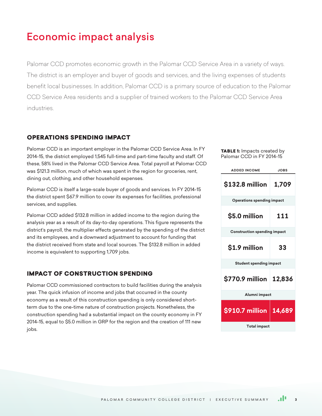# Economic impact analysis

Palomar CCD promotes economic growth in the Palomar CCD Service Area in a variety of ways. The district is an employer and buyer of goods and services, and the living expenses of students benefit local businesses. In addition, Palomar CCD is a primary source of education to the Palomar CCD Service Area residents and a supplier of trained workers to the Palomar CCD Service Area industries.

## OPERATIONS SPENDING IMPACT

Palomar CCD is an important employer in the Palomar CCD Service Area. In FY 2014-15, the district employed 1,545 full-time and part-time faculty and staff. Of these, 58% lived in the Palomar CCD Service Area. Total payroll at Palomar CCD was \$121.3 million, much of which was spent in the region for groceries, rent, dining out, clothing, and other household expenses.

Palomar CCD is itself a large-scale buyer of goods and services. In FY 2014-15 the district spent \$67.9 million to cover its expenses for facilities, professional services, and supplies.

Palomar CCD added \$132.8 million in added income to the region during the analysis year as a result of its day-to-day operations. This figure represents the district's payroll, the multiplier effects generated by the spending of the district and its employees, and a downward adjustment to account for funding that the district received from state and local sources. The \$132.8 million in added income is equivalent to supporting 1,709 jobs.

## IMPACT OF CONSTRUCTION SPENDING

Palomar CCD commissioned contractors to build facilities during the analysis year. The quick infusion of income and jobs that occurred in the county economy as a result of this construction spending is only considered shortterm due to the one-time nature of construction projects. Nonetheless, the construction spending had a substantial impact on the county economy in FY 2014-15, equal to \$5.0 million in GRP for the region and the creation of 111 new jobs.

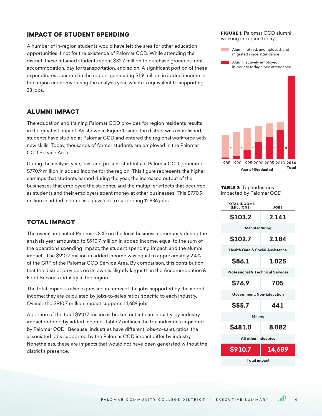# IMPACT OF STUDENT SPENDING

A number of in-region students would have left the area for other education opportunities if not for the existence of Palomar CCD. While attending the district, these retained students spent \$32.7 million to purchase groceries, rent accommodation, pay for transportation, and so on. A significant portion of these expenditures occurred in the region, generating \$1.9 million in added income in the region economy during the analysis year, which is equivalent to supporting 33 jobs.

# ALUMNI IMPACT

The education and training Palomar CCD provides for region residents results in the greatest impact. As shown in Figure 1, since the district was established, students have studied at Palomar CCD and entered the regional workforce with new skills. Today, thousands of former students are employed in the Palomar CCD Service Area.

During the analysis year, past and present students of Palomar CCD generated \$770.9 million in added income for the region. This figure represents the higher earnings that students earned during the year, the increased output of the businesses that employed the students, and the multiplier effects that occurred as students and their employers spent money at other businesses. This \$770.9 million in added income is equivalent to supporting 12,836 jobs.

## TOTAL IMPACT

The overall impact of Palomar CCD on the local business community during the analysis year amounted to \$910.7 million in added income, equal to the sum of the operations spending impact, the student spending impact, and the alumni impact. The \$910.7 million in added income was equal to approximately 2.4% of the GRP of the Palomar CCD Service Area. By comparison, this contribution that the district provides on its own is slightly larger than the Accommodation & Food Services industry in the region.

The total impact is also expressed in terms of the jobs supported by the added income; they are calculated by jobs-to-sales ratios specific to each industry. Overall, the \$910.7 million impact supports 14,689 jobs.

A portion of the total \$910.7 million is broken out into an industry-by-industry impact ordered by added income. Table 2 outlines the top industries impacted by Palomar CCD. Because industries have different jobs-to-sales ratios, the associated jobs supported by the Palomar CCD impact differ by industry. Nonetheless, these are impacts that would not have been generated without the district's presence.

#### FIGURE 1: Palomar CCD alumni working in-region today

- Alumni retired, unemployed, and migrated since attendance
- Alumni actively employed in-county today since attendance



#### **TABLE 2:** Top industries impacted by Palomar CCD

| <b>TOTAL INCOME</b><br>(MILLIONS)            | JOBS   |  |  |
|----------------------------------------------|--------|--|--|
| \$103.2                                      | 2,141  |  |  |
| Manufacturing                                |        |  |  |
| \$102.7                                      | 2,184  |  |  |
| <b>Health Care &amp; Social Assistance</b>   |        |  |  |
| \$86.1                                       | 1,025  |  |  |
| <b>Professional &amp; Technical Services</b> |        |  |  |
| \$76.9                                       | 705    |  |  |
| Government, Non-Education                    |        |  |  |
| \$55.7                                       | 441    |  |  |
| Mining                                       |        |  |  |
| \$481.0                                      | 8,082  |  |  |
| All other industries                         |        |  |  |
| \$910.7                                      | 14,689 |  |  |
| <b>Total impact</b>                          |        |  |  |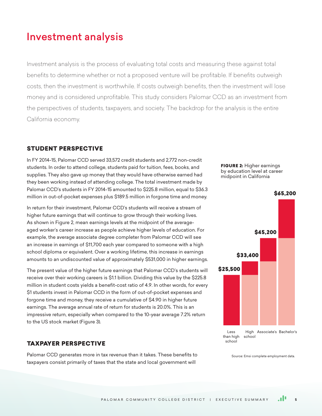# Investment analysis

Investment analysis is the process of evaluating total costs and measuring these against total benefits to determine whether or not a proposed venture will be profitable. If benefits outweigh costs, then the investment is worthwhile. If costs outweigh benefits, then the investment will lose money and is considered unprofitable. This study considers Palomar CCD as an investment from the perspectives of students, taxpayers, and society. The backdrop for the analysis is the entire California economy.

## STUDENT PERSPECTIVE

In FY 2014-15, Palomar CCD served 33,572 credit students and 2,772 non-credit students. In order to attend college, students paid for tuition, fees, books, and supplies. They also gave up money that they would have otherwise earned had they been working instead of attending college. The total investment made by Palomar CCD's students in FY 2014-15 amounted to \$225.8 million, equal to \$36.3 million in out-of-pocket expenses plus \$189.5 million in forgone time and money.

In return for their investment, Palomar CCD's students will receive a stream of higher future earnings that will continue to grow through their working lives. As shown in Figure 2, mean earnings levels at the midpoint of the averageaged worker's career increase as people achieve higher levels of education. For example, the average associate degree completer from Palomar CCD will see an increase in earnings of \$11,700 each year compared to someone with a high school diploma or equivalent. Over a working lifetime, this increase in earnings amounts to an undiscounted value of approximately \$531,000 in higher earnings.

The present value of the higher future earnings that Palomar CCD's students will receive over their working careers is \$1.1 billion. Dividing this value by the \$225.8 million in student costs yields a benefit-cost ratio of 4.9. In other words, for every \$1 students invest in Palomar CCD in the form of out-of-pocket expenses and forgone time and money, they receive a cumulative of \$4.90 in higher future earnings. The average annual rate of return for students is 20.0%. This is an impressive return, especially when compared to the 10-year average 7.2% return to the US stock market (Figure 3).

## TAXPAYER PERSPECTIVE

Palomar CCD generates more in tax revenue than it takes. These benefits to taxpayers consist primarily of taxes that the state and local government will





Source: Emsi complete employment data.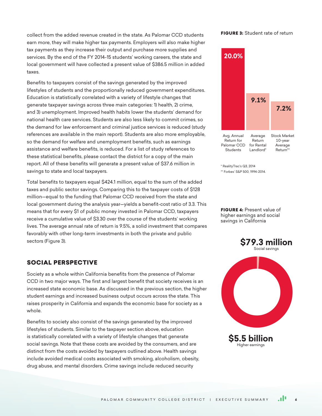collect from the added revenue created in the state. As Palomar CCD students earn more, they will make higher tax payments. Employers will also make higher tax payments as they increase their output and purchase more supplies and services. By the end of the FY 2014-15 students' working careers, the state and local government will have collected a present value of \$386.5 million in added taxes.

Benefits to taxpayers consist of the savings generated by the improved lifestyles of students and the proportionally reduced government expenditures. Education is statistically correlated with a variety of lifestyle changes that generate taxpayer savings across three main categories: 1) health, 2) crime, and 3) unemployment. Improved health habits lower the students' demand for national health care services. Students are also less likely to commit crimes, so the demand for law enforcement and criminal justice services is reduced (study references are available in the main report). Students are also more employable, so the demand for welfare and unemployment benefits, such as earnings assistance and welfare benefits, is reduced. For a list of study references to these statistical benefits, please contact the district for a copy of the main report. All of these benefits will generate a present value of \$37.6 million in savings to state and local taxpayers.

Total benefits to taxpayers equal \$424.1 million, equal to the sum of the added taxes and public sector savings. Comparing this to the taxpayer costs of \$128 million—equal to the funding that Palomar CCD received from the state and local government during the analysis year—yields a benefit-cost ratio of 3.3. This means that for every \$1 of public money invested in Palomar CCD, taxpayers receive a cumulative value of \$3.30 over the course of the students' working lives. The average annual rate of return is 9.5%, a solid investment that compares favorably with other long-term investments in both the private and public sectors (Figure 3).

## SOCIAL PERSPECTIVE

Society as a whole within California benefits from the presence of Palomar CCD in two major ways. The first and largest benefit that society receives is an increased state economic base. As discussed in the previous section, the higher student earnings and increased business output occurs across the state. This raises prosperity in California and expands the economic base for society as a whole.

Benefits to society also consist of the savings generated by the improved lifestyles of students. Similar to the taxpayer section above, education is statistically correlated with a variety of lifestyle changes that generate social savings. Note that these costs are avoided by the consumers, and are distinct from the costs avoided by taxpayers outlined above. Health savings include avoided medical costs associated with smoking, alcoholism, obesity, drug abuse, and mental disorders. Crime savings include reduced security

#### **FIGURE 3: Student rate of return**



\* RealityTrac's Q3, 2014 \*\* Forbes' S&P 500, 1994-2014.

FIGURE 4: Present value of higher earnings and social savings in California

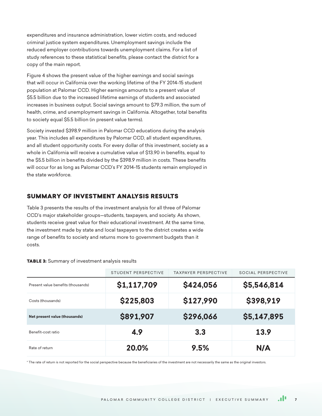expenditures and insurance administration, lower victim costs, and reduced criminal justice system expenditures. Unemployment savings include the reduced employer contributions towards unemployment claims. For a list of study references to these statistical benefits, please contact the district for a copy of the main report.

Figure 4 shows the present value of the higher earnings and social savings that will occur in California over the working lifetime of the FY 2014-15 student population at Palomar CCD. Higher earnings amounts to a present value of \$5.5 billion due to the increased lifetime earnings of students and associated increases in business output. Social savings amount to \$79.3 million, the sum of health, crime, and unemployment savings in California. Altogether, total benefits to society equal \$5.5 billion (in present value terms).

Society invested \$398.9 million in Palomar CCD educations during the analysis year. This includes all expenditures by Palomar CCD, all student expenditures, and all student opportunity costs. For every dollar of this investment, society as a whole in California will receive a cumulative value of \$13.90 in benefits, equal to the \$5.5 billion in benefits divided by the \$398.9 million in costs. These benefits will occur for as long as Palomar CCD's FY 2014-15 students remain employed in the state workforce.

# SUMMARY OF INVESTMENT ANALYSIS RESULTS

Table 3 presents the results of the investment analysis for all three of Palomar CCD's major stakeholder groups—students, taxpayers, and society. As shown, students receive great value for their educational investment. At the same time, the investment made by state and local taxpayers to the district creates a wide range of benefits to society and returns more to government budgets than it costs.

|                                    | STUDENT PERSPECTIVE | <b>TAXPAYER PERSPECTIVE</b> | SOCIAL PERSPECTIVE |
|------------------------------------|---------------------|-----------------------------|--------------------|
| Present value benefits (thousands) | \$1,117,709         | \$424,056                   | \$5,546,814        |
| Costs (thousands)                  | \$225,803           | \$127,990                   | \$398,919          |
| Net present value (thousands)      | \$891,907           | \$296,066                   | \$5,147,895        |
| Benefit-cost ratio                 | 4.9                 | 3.3                         | 13.9               |
| Rate of return                     | 20.0%               | 9.5%                        | N/A                |

TABLE 3: Summary of investment analysis results

\* The rate of return is not reported for the social perspective because the beneficiaries of the investment are not necessarily the same as the original investors.